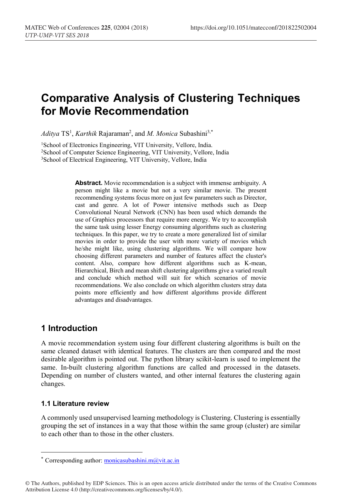# **Comparative Analysis of Clustering Techniques for Movie Recommendation**

*Aditya* TS1 , *Karthik* Rajaraman2 , and *M. Monica* Subashini3,\*

1 School of Electronics Engineering, VIT University, Vellore, India. 2School of Computer Science Engineering, VIT University, Vellore, India 3School of Electrical Engineering, VIT University, Vellore, India

> **Abstract.** Movie recommendation is a subject with immense ambiguity. A person might like a movie but not a very similar movie. The present recommending systems focus more on just few parameters such as Director, cast and genre. A lot of Power intensive methods such as Deep Convolutional Neural Network (CNN) has been used which demands the use of Graphics processors that require more energy. We try to accomplish the same task using lesser Energy consuming algorithms such as clustering techniques. In this paper, we try to create a more generalized list of similar movies in order to provide the user with more variety of movies which he/she might like, using clustering algorithms. We will compare how choosing different parameters and number of features affect the cluster's content. Also, compare how different algorithms such as K-mean, Hierarchical, Birch and mean shift clustering algorithms give a varied result and conclude which method will suit for which scenarios of movie recommendations. We also conclude on which algorithm clusters stray data points more efficiently and how different algorithms provide different advantages and disadvantages.

# **1 Introduction**

A movie recommendation system using four different clustering algorithms is built on the same cleaned dataset with identical features. The clusters are then compared and the most desirable algorithm is pointed out. The python library scikit-learn is used to implement the same. In-built clustering algorithm functions are called and processed in the datasets. Depending on number of clusters wanted, and other internal features the clustering again changes.

### **1.1 Literature review**

A commonly used unsupervised learning methodology is Clustering. Clustering is essentially grouping the set of instances in a way that those within the same group (cluster) are similar to each other than to those in the other clusters.

© The Authors, published by EDP Sciences. This is an open access article distributed under the terms of the Creative Commons Attribution License 4.0 (http://creativecommons.org/licenses/by/4.0/).

<sup>\*</sup> Corresponding author: monicasubashini.m $@$ vit.ac.in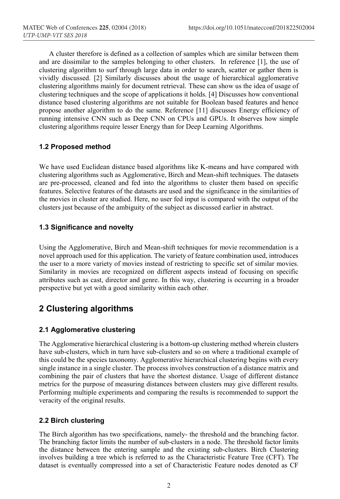A cluster therefore is defined as a collection of samples which are similar between them and are dissimilar to the samples belonging to other clusters. In reference [1], the use of clustering algorithm to surf through large data in order to search, scatter or gather them is vividly discussed. [2] Similarly discusses about the usage of hierarchical agglomerative clustering algorithms mainly for document retrieval. These can show us the idea of usage of clustering techniques and the scope of applications it holds. [4] Discusses how conventional distance based clustering algorithms are not suitable for Boolean based features and hence propose another algorithm to do the same. Reference [11] discusses Energy efficiency of running intensive CNN such as Deep CNN on CPUs and GPUs. It observes how simple clustering algorithms require lesser Energy than for Deep Learning Algorithms.

### **1.2 Proposed method**

We have used Euclidean distance based algorithms like K-means and have compared with clustering algorithms such as Agglomerative, Birch and Mean-shift techniques. The datasets are pre-processed, cleaned and fed into the algorithms to cluster them based on specific features. Selective features of the datasets are used and the significance in the similarities of the movies in cluster are studied. Here, no user fed input is compared with the output of the clusters just because of the ambiguity of the subject as discussed earlier in abstract.

### **1.3 Significance and novelty**

Using the Agglomerative, Birch and Mean-shift techniques for movie recommendation is a novel approach used for this application. The variety of feature combination used, introduces the user to a more variety of movies instead of restricting to specific set of similar movies. Similarity in movies are recognized on different aspects instead of focusing on specific attributes such as cast, director and genre. In this way, clustering is occurring in a broader perspective but yet with a good similarity within each other.

# **2 Clustering algorithms**

### **2.1 Agglomerative clustering**

The Agglomerative hierarchical clustering is a bottom-up clustering method wherein clusters have sub-clusters, which in turn have sub-clusters and so on where a traditional example of this could be the species taxonomy. Agglomerative hierarchical clustering begins with every single instance in a single cluster. The process involves construction of a distance matrix and combining the pair of clusters that have the shortest distance. Usage of different distance metrics for the purpose of measuring distances between clusters may give different results. Performing multiple experiments and comparing the results is recommended to support the veracity of the original results.

### **2.2 Birch clustering**

The Birch algorithm has two specifications, namely- the threshold and the branching factor. The branching factor limits the number of sub-clusters in a node. The threshold factor limits the distance between the entering sample and the existing sub-clusters. Birch Clustering involves building a tree which is referred to as the Characteristic Feature Tree (CFT). The dataset is eventually compressed into a set of Characteristic Feature nodes denoted as CF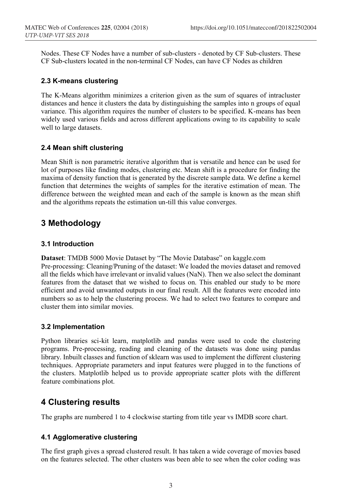Nodes. These CF Nodes have a number of sub-clusters - denoted by CF Sub-clusters. These CF Sub-clusters located in the non-terminal CF Nodes, can have CF Nodes as children

#### **2.3 K-means clustering**

The K-Means algorithm minimizes a criterion given as the sum of squares of intracluster distances and hence it clusters the data by distinguishing the samples into n groups of equal variance. This algorithm requires the number of clusters to be specified. K-means has been widely used various fields and across different applications owing to its capability to scale well to large datasets.

### **2.4 Mean shift clustering**

Mean Shift is non parametric iterative algorithm that is versatile and hence can be used for lot of purposes like finding modes, clustering etc. Mean shift is a procedure for finding the maxima of density function that is generated by the discrete sample data. We define a kernel function that determines the weights of samples for the iterative estimation of mean. The difference between the weighted mean and each of the sample is known as the mean shift and the algorithms repeats the estimation un-till this value converges.

# **3 Methodology**

### **3.1 Introduction**

**Dataset**: TMDB 5000 Movie Dataset by "The Movie Database" on kaggle.com Pre-processing: Cleaning/Pruning of the dataset: We loaded the movies dataset and removed all the fields which have irrelevant or invalid values (NaN). Then we also select the dominant features from the dataset that we wished to focus on. This enabled our study to be more efficient and avoid unwanted outputs in our final result. All the features were encoded into numbers so as to help the clustering process. We had to select two features to compare and cluster them into similar movies.

### **3.2 Implementation**

Python libraries sci-kit learn, matplotlib and pandas were used to code the clustering programs. Pre-processing, reading and cleaning of the datasets was done using pandas library. Inbuilt classes and function of sklearn was used to implement the different clustering techniques. Appropriate parameters and input features were plugged in to the functions of the clusters. Matplotlib helped us to provide appropriate scatter plots with the different feature combinations plot.

### **4 Clustering results**

The graphs are numbered 1 to 4 clockwise starting from title year vs IMDB score chart.

### **4.1 Agglomerative clustering**

The first graph gives a spread clustered result. It has taken a wide coverage of movies based on the features selected. The other clusters was been able to see when the color coding was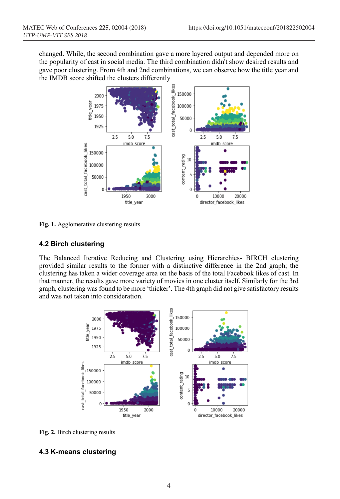changed. While, the second combination gave a more layered output and depended more on the popularity of cast in social media. The third combination didn't show desired results and gave poor clustering. From 4th and 2nd combinations, we can observe how the title year and the IMDB score shifted the clusters differently



**Fig. 1.** Agglomerative clustering results

### **4.2 Birch clustering**

The Balanced Iterative Reducing and Clustering using Hierarchies- BIRCH clustering provided similar results to the former with a distinctive difference in the 2nd graph; the clustering has taken a wider coverage area on the basis of the total Facebook likes of cast. In that manner, the results gave more variety of movies in one cluster itself. Similarly for the 3rd graph, clustering was found to be more 'thicker'. The 4th graph did not give satisfactory results and was not taken into consideration.



**Fig. 2.** Birch clustering results

### **4.3 K-means clustering**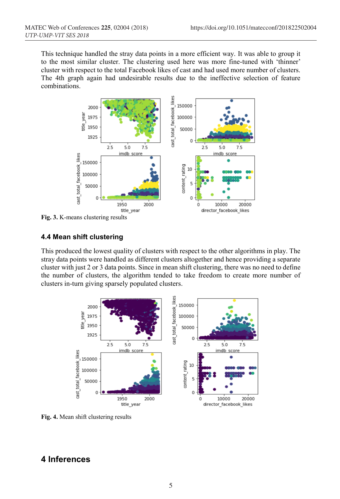This technique handled the stray data points in a more efficient way. It was able to group it to the most similar cluster. The clustering used here was more fine-tuned with 'thinner' cluster with respect to the total Facebook likes of cast and had used more number of clusters. The 4th graph again had undesirable results due to the ineffective selection of feature combinations.



**Fig. 3.** K-means clustering results

### **4.4 Mean shift clustering**

This produced the lowest quality of clusters with respect to the other algorithms in play. The stray data points were handled as different clusters altogether and hence providing a separate cluster with just 2 or 3 data points. Since in mean shift clustering, there was no need to define the number of clusters, the algorithm tended to take freedom to create more number of clusters in-turn giving sparsely populated clusters.



**Fig. 4.** Mean shift clustering results

# **4 Inferences**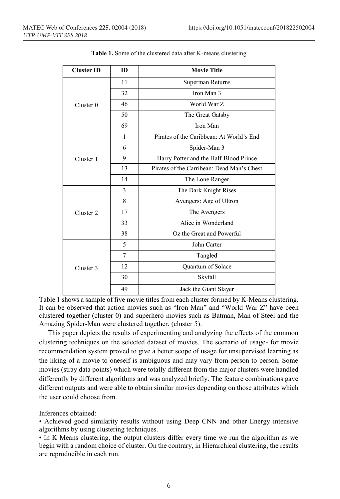| <b>Cluster ID</b>    | ID             | <b>Movie Title</b>                         |
|----------------------|----------------|--------------------------------------------|
| Cluster <sub>0</sub> | 11             | Superman Returns                           |
|                      | 32             | Iron Man 3                                 |
|                      | 46             | World War Z                                |
|                      | 50             | The Great Gatsby                           |
|                      | 69             | Iron Man                                   |
| Cluster 1            | 1              | Pirates of the Caribbean: At World's End   |
|                      | 6              | Spider-Man 3                               |
|                      | 9              | Harry Potter and the Half-Blood Prince     |
|                      | 13             | Pirates of the Carribean: Dead Man's Chest |
|                      | 14             | The Lone Ranger                            |
| Cluster <sub>2</sub> | 3              | The Dark Knight Rises                      |
|                      | 8              | Avengers: Age of Ultron                    |
|                      | 17             | The Avengers                               |
|                      | 33             | Alice in Wonderland                        |
|                      | 38             | Oz the Great and Powerful                  |
| Cluster 3            | 5              | John Carter                                |
|                      | $\overline{7}$ | Tangled                                    |
|                      | 12             | Quantum of Solace                          |
|                      | 30             | Skyfall                                    |
|                      | 49             | Jack the Giant Slayer                      |

**Table 1.** Some of the clustered data after K-means clustering

Table 1 shows a sample of five movie titles from each cluster formed by K-Means clustering. It can be observed that action movies such as "Iron Man" and "World War Z" have been clustered together (cluster 0) and superhero movies such as Batman, Man of Steel and the Amazing Spider-Man were clustered together. (cluster 5).

 This paper depicts the results of experimenting and analyzing the effects of the common clustering techniques on the selected dataset of movies. The scenario of usage- for movie recommendation system proved to give a better scope of usage for unsupervised learning as the liking of a movie to oneself is ambiguous and may vary from person to person. Some movies (stray data points) which were totally different from the major clusters were handled differently by different algorithms and was analyzed briefly. The feature combinations gave different outputs and were able to obtain similar movies depending on those attributes which the user could choose from.

Inferences obtained:

• Achieved good similarity results without using Deep CNN and other Energy intensive algorithms by using clustering techniques.

• In K Means clustering, the output clusters differ every time we run the algorithm as we begin with a random choice of cluster. On the contrary, in Hierarchical clustering, the results are reproducible in each run.